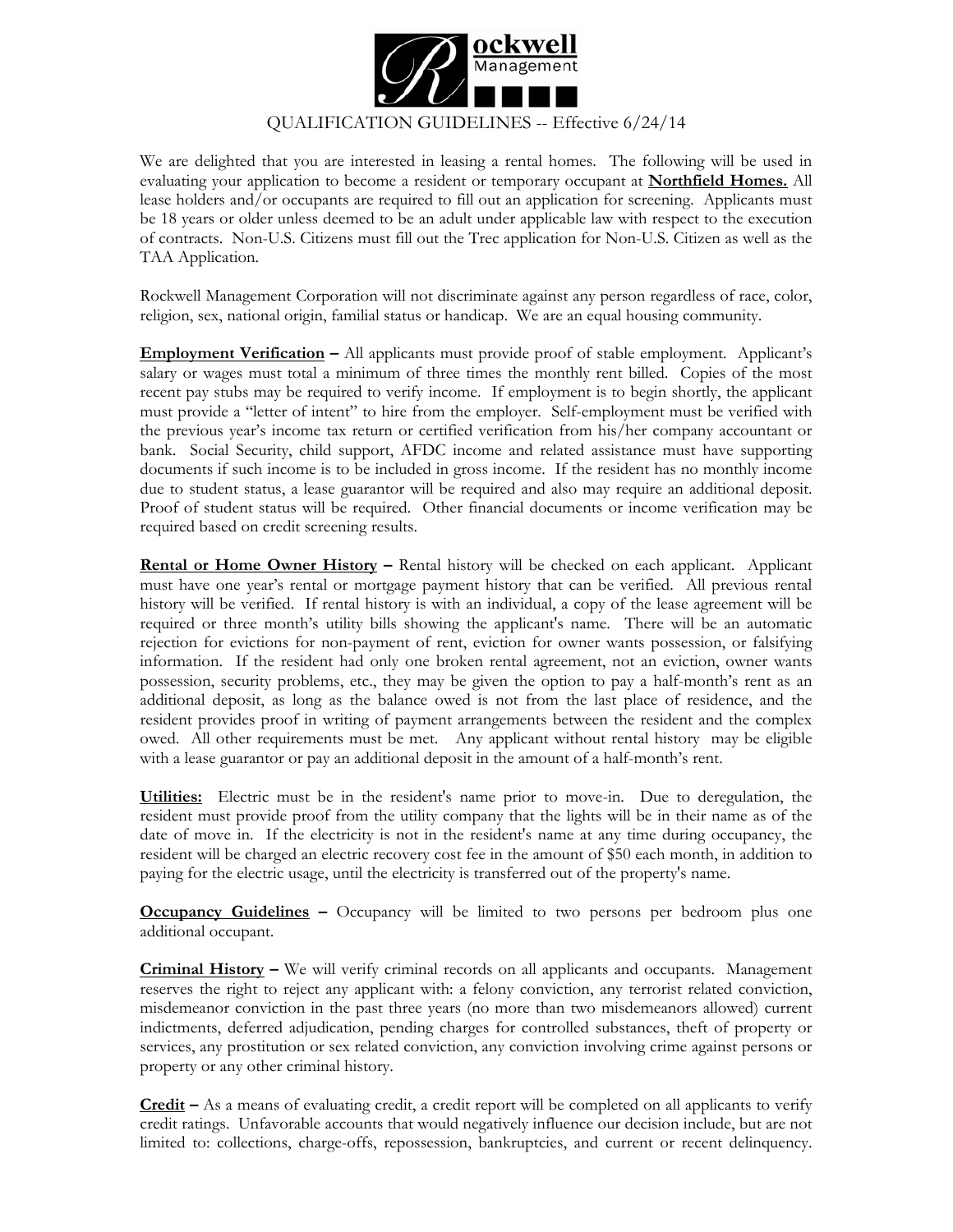

## QUALIFICATION GUIDELINES -- Effective 6/24/14

We are delighted that you are interested in leasing a rental homes. The following will be used in evaluating your application to become a resident or temporary occupant at **Northfield Homes.** All lease holders and/or occupants are required to fill out an application for screening. Applicants must be 18 years or older unless deemed to be an adult under applicable law with respect to the execution of contracts. Non-U.S. Citizens must fill out the Trec application for Non-U.S. Citizen as well as the TAA Application.

Rockwell Management Corporation will not discriminate against any person regardless of race, color, religion, sex, national origin, familial status or handicap. We are an equal housing community.

**Employment Verification –** All applicants must provide proof of stable employment. Applicant's salary or wages must total a minimum of three times the monthly rent billed. Copies of the most recent pay stubs may be required to verify income. If employment is to begin shortly, the applicant must provide a "letter of intent" to hire from the employer. Self-employment must be verified with the previous year's income tax return or certified verification from his/her company accountant or bank. Social Security, child support, AFDC income and related assistance must have supporting documents if such income is to be included in gross income. If the resident has no monthly income due to student status, a lease guarantor will be required and also may require an additional deposit. Proof of student status will be required. Other financial documents or income verification may be required based on credit screening results.

**Rental or Home Owner History –** Rental history will be checked on each applicant. Applicant must have one year's rental or mortgage payment history that can be verified. All previous rental history will be verified. If rental history is with an individual, a copy of the lease agreement will be required or three month's utility bills showing the applicant's name. There will be an automatic rejection for evictions for non-payment of rent, eviction for owner wants possession, or falsifying information. If the resident had only one broken rental agreement, not an eviction, owner wants possession, security problems, etc., they may be given the option to pay a half-month's rent as an additional deposit, as long as the balance owed is not from the last place of residence, and the resident provides proof in writing of payment arrangements between the resident and the complex owed. All other requirements must be met. Any applicant without rental history may be eligible with a lease guarantor or pay an additional deposit in the amount of a half-month's rent.

**Utilities:** Electric must be in the resident's name prior to move-in. Due to deregulation, the resident must provide proof from the utility company that the lights will be in their name as of the date of move in. If the electricity is not in the resident's name at any time during occupancy, the resident will be charged an electric recovery cost fee in the amount of \$50 each month, in addition to paying for the electric usage, until the electricity is transferred out of the property's name.

**Occupancy Guidelines –** Occupancy will be limited to two persons per bedroom plus one additional occupant.

**Criminal History –** We will verify criminal records on all applicants and occupants. Management reserves the right to reject any applicant with: a felony conviction, any terrorist related conviction, misdemeanor conviction in the past three years (no more than two misdemeanors allowed) current indictments, deferred adjudication, pending charges for controlled substances, theft of property or services, any prostitution or sex related conviction, any conviction involving crime against persons or property or any other criminal history.

**Credit –** As a means of evaluating credit, a credit report will be completed on all applicants to verify credit ratings. Unfavorable accounts that would negatively influence our decision include, but are not limited to: collections, charge-offs, repossession, bankruptcies, and current or recent delinquency.